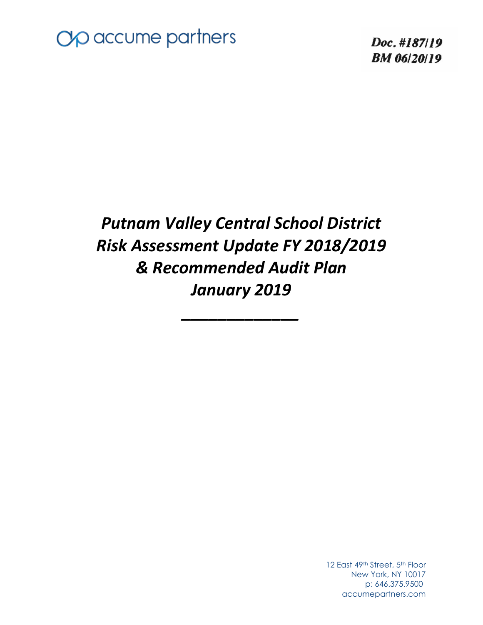

Doc. #187/19 **BM** 06/20/19

# *Putnam Valley Central School District Risk Assessment Update FY 2018/2019 & Recommended Audit Plan January 2019*

*\_\_\_\_\_\_\_\_\_\_\_\_\_* 

12 East 49th Street, 5th Floor New York, NY 10017 p: 646.375.9500 accumepartners.com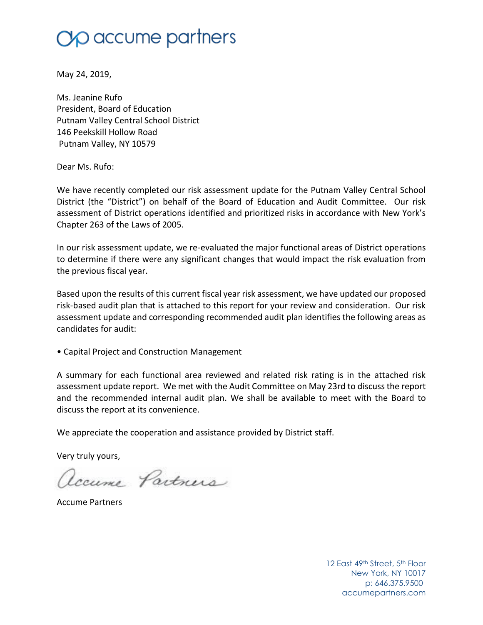# $\gamma$  accume partners

May 24, 2019,

Ms. Jeanine Rufo President, Board of Education Putnam Valley Central School District 146 Peekskill Hollow Road Putnam Valley, NY 10579

Dear Ms. Rufo:

We have recently completed our risk assessment update for the Putnam Valley Central School District (the "District") on behalf of the Board of Education and Audit Committee. Our risk assessment of District operations identified and prioritized risks in accordance with New York's Chapter 263 of the Laws of 2005.

In our risk assessment update, we re-evaluated the major functional areas of District operations to determine if there were any significant changes that would impact the risk evaluation from the previous fiscal year.

Based upon the results of this current fiscal year risk assessment, we have updated our proposed risk-based audit plan that is attached to this report for your review and consideration. Our risk assessment update and corresponding recommended audit plan identifies the following areas as candidates for audit:

• Capital Project and Construction Management

A summary for each functional area reviewed and related risk rating is in the attached risk assessment update report. We met with the Audit Committee on May 23rd to discuss the report and the recommended internal audit plan. We shall be available to meet with the Board to discuss the report at its convenience.

We appreciate the cooperation and assistance provided by District staff.

Very truly yours,

Accume Partners

Accume Partners

12 East 49th Street, 5th Floor New York, NY 10017 p: 646.375.9500 accumepartners.com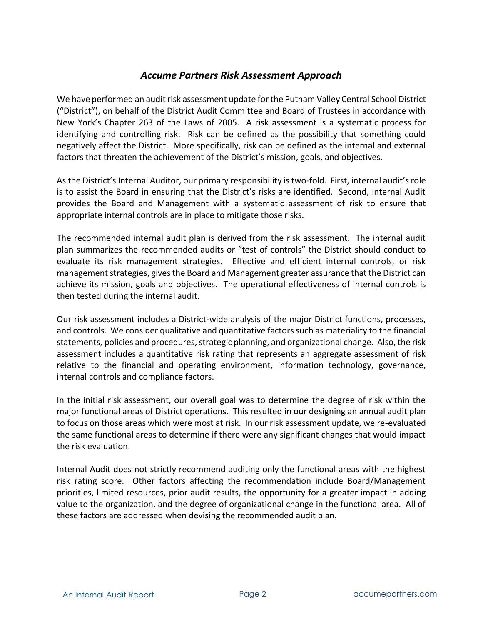# *Accume Partners Risk Assessment Approach*

We have performed an audit risk assessment update for the Putnam Valley Central School District ("District"), on behalf of the District Audit Committee and Board of Trustees in accordance with New York's Chapter 263 of the Laws of 2005. A risk assessment is a systematic process for identifying and controlling risk. Risk can be defined as the possibility that something could negatively affect the District. More specifically, risk can be defined as the internal and external factors that threaten the achievement of the District's mission, goals, and objectives.

As the District's Internal Auditor, our primary responsibility is two-fold. First, internal audit's role is to assist the Board in ensuring that the District's risks are identified. Second, Internal Audit provides the Board and Management with a systematic assessment of risk to ensure that appropriate internal controls are in place to mitigate those risks.

The recommended internal audit plan is derived from the risk assessment. The internal audit plan summarizes the recommended audits or "test of controls" the District should conduct to evaluate its risk management strategies. Effective and efficient internal controls, or risk management strategies, gives the Board and Management greater assurance that the District can achieve its mission, goals and objectives. The operational effectiveness of internal controls is then tested during the internal audit.

Our risk assessment includes a District-wide analysis of the major District functions, processes, and controls. We consider qualitative and quantitative factors such as materiality to the financial statements, policies and procedures, strategic planning, and organizational change. Also, the risk assessment includes a quantitative risk rating that represents an aggregate assessment of risk relative to the financial and operating environment, information technology, governance, internal controls and compliance factors.

In the initial risk assessment, our overall goal was to determine the degree of risk within the major functional areas of District operations. This resulted in our designing an annual audit plan to focus on those areas which were most at risk. In our risk assessment update, we re-evaluated the same functional areas to determine if there were any significant changes that would impact the risk evaluation.

Internal Audit does not strictly recommend auditing only the functional areas with the highest risk rating score. Other factors affecting the recommendation include Board/Management priorities, limited resources, prior audit results, the opportunity for a greater impact in adding value to the organization, and the degree of organizational change in the functional area. All of these factors are addressed when devising the recommended audit plan.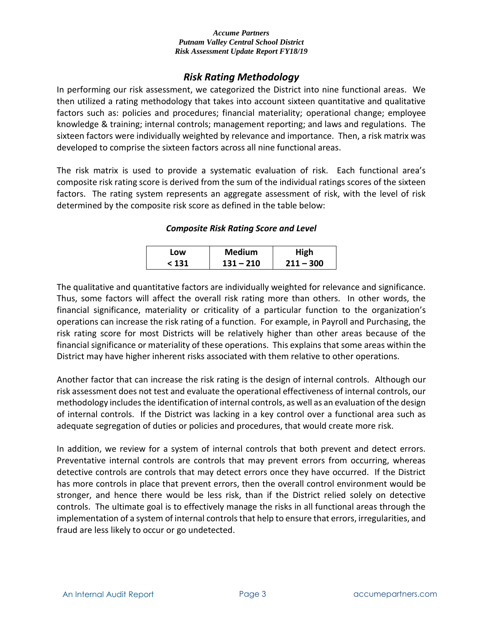## *Risk Rating Methodology*

In performing our risk assessment, we categorized the District into nine functional areas. We then utilized a rating methodology that takes into account sixteen quantitative and qualitative factors such as: policies and procedures; financial materiality; operational change; employee knowledge & training; internal controls; management reporting; and laws and regulations. The sixteen factors were individually weighted by relevance and importance. Then, a risk matrix was developed to comprise the sixteen factors across all nine functional areas.

The risk matrix is used to provide a systematic evaluation of risk. Each functional area's composite risk rating score is derived from the sum of the individual ratings scores of the sixteen factors. The rating system represents an aggregate assessment of risk, with the level of risk determined by the composite risk score as defined in the table below:

## *Composite Risk Rating Score and Level*

| Low   | <b>Medium</b> | High        |
|-------|---------------|-------------|
| < 131 | $131 - 210$   | $211 - 300$ |

The qualitative and quantitative factors are individually weighted for relevance and significance. Thus, some factors will affect the overall risk rating more than others. In other words, the financial significance, materiality or criticality of a particular function to the organization's operations can increase the risk rating of a function. For example, in Payroll and Purchasing, the risk rating score for most Districts will be relatively higher than other areas because of the financial significance or materiality of these operations. This explains that some areas within the District may have higher inherent risks associated with them relative to other operations.

Another factor that can increase the risk rating is the design of internal controls. Although our risk assessment does not test and evaluate the operational effectiveness of internal controls, our methodology includes the identification of internal controls, as well as an evaluation of the design of internal controls. If the District was lacking in a key control over a functional area such as adequate segregation of duties or policies and procedures, that would create more risk.

In addition, we review for a system of internal controls that both prevent and detect errors. Preventative internal controls are controls that may prevent errors from occurring, whereas detective controls are controls that may detect errors once they have occurred. If the District has more controls in place that prevent errors, then the overall control environment would be stronger, and hence there would be less risk, than if the District relied solely on detective controls. The ultimate goal is to effectively manage the risks in all functional areas through the implementation of a system of internal controls that help to ensure that errors, irregularities, and fraud are less likely to occur or go undetected.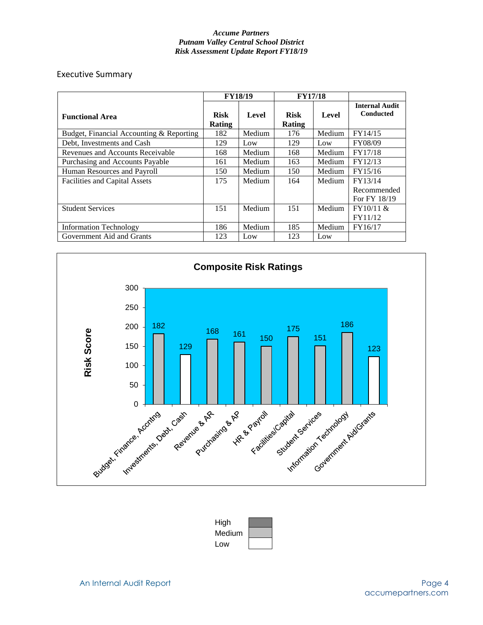### Executive Summary

|                                          | <b>FY18/19</b>        |        | <b>FY17/18</b>        |              |                                           |
|------------------------------------------|-----------------------|--------|-----------------------|--------------|-------------------------------------------|
| <b>Functional Area</b>                   | <b>Risk</b><br>Rating | Level  | <b>Risk</b><br>Rating | <b>Level</b> | <b>Internal Audit</b><br><b>Conducted</b> |
| Budget, Financial Accounting & Reporting | 182                   | Medium | 176                   | Medium       | FY14/15                                   |
| Debt, Investments and Cash               | 129                   | Low    | 129                   | Low          | FY08/09                                   |
| Revenues and Accounts Receivable         | 168                   | Medium | 168                   | Medium       | FY17/18                                   |
| Purchasing and Accounts Payable          | 161                   | Medium | 163                   | Medium       | FY12/13                                   |
| Human Resources and Payroll              | 150                   | Medium | 150                   | Medium       | FY15/16                                   |
| <b>Facilities and Capital Assets</b>     | 175                   | Medium | 164                   | Medium       | FY13/14<br>Recommended<br>For FY 18/19    |
| <b>Student Services</b>                  | 151                   | Medium | 151                   | Medium       | FY10/11 &<br>FY11/12                      |
| <b>Information Technology</b>            | 186                   | Medium | 185                   | Medium       | FY16/17                                   |
| Government Aid and Grants                | 123                   | Low    | 123                   | Low          |                                           |



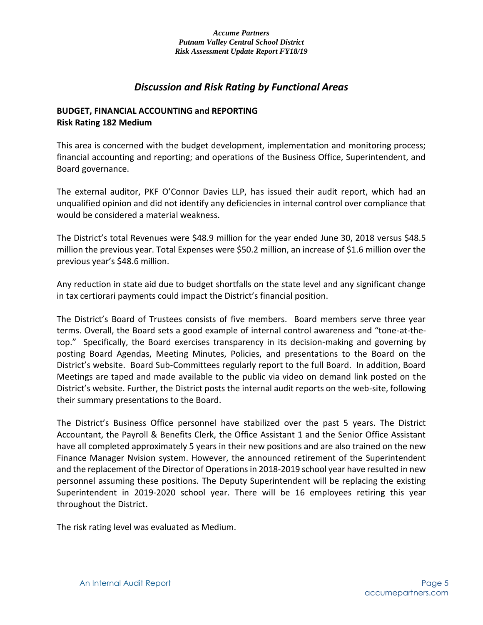# *Discussion and Risk Rating by Functional Areas*

## **BUDGET, FINANCIAL ACCOUNTING and REPORTING Risk Rating 182 Medium**

This area is concerned with the budget development, implementation and monitoring process; financial accounting and reporting; and operations of the Business Office, Superintendent, and Board governance.

The external auditor, PKF O'Connor Davies LLP, has issued their audit report, which had an unqualified opinion and did not identify any deficiencies in internal control over compliance that would be considered a material weakness.

The District's total Revenues were \$48.9 million for the year ended June 30, 2018 versus \$48.5 million the previous year. Total Expenses were \$50.2 million, an increase of \$1.6 million over the previous year's \$48.6 million.

Any reduction in state aid due to budget shortfalls on the state level and any significant change in tax certiorari payments could impact the District's financial position.

The District's Board of Trustees consists of five members. Board members serve three year terms. Overall, the Board sets a good example of internal control awareness and "tone-at-thetop." Specifically, the Board exercises transparency in its decision-making and governing by posting Board Agendas, Meeting Minutes, Policies, and presentations to the Board on the District's website. Board Sub-Committees regularly report to the full Board. In addition, Board Meetings are taped and made available to the public via video on demand link posted on the District's website. Further, the District posts the internal audit reports on the web-site, following their summary presentations to the Board.

The District's Business Office personnel have stabilized over the past 5 years. The District Accountant, the Payroll & Benefits Clerk, the Office Assistant 1 and the Senior Office Assistant have all completed approximately 5 years in their new positions and are also trained on the new Finance Manager Nvision system. However, the announced retirement of the Superintendent and the replacement of the Director of Operations in 2018-2019 school year have resulted in new personnel assuming these positions. The Deputy Superintendent will be replacing the existing Superintendent in 2019-2020 school year. There will be 16 employees retiring this year throughout the District.

The risk rating level was evaluated as Medium.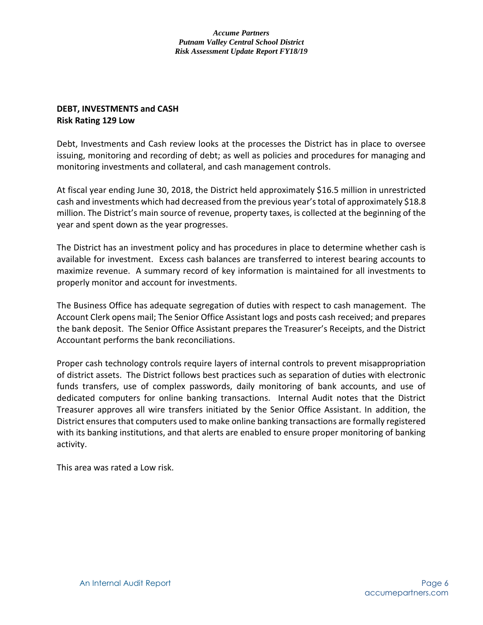## **DEBT, INVESTMENTS and CASH Risk Rating 129 Low**

Debt, Investments and Cash review looks at the processes the District has in place to oversee issuing, monitoring and recording of debt; as well as policies and procedures for managing and monitoring investments and collateral, and cash management controls.

At fiscal year ending June 30, 2018, the District held approximately \$16.5 million in unrestricted cash and investments which had decreased from the previous year's total of approximately \$18.8 million. The District's main source of revenue, property taxes, is collected at the beginning of the year and spent down as the year progresses.

The District has an investment policy and has procedures in place to determine whether cash is available for investment. Excess cash balances are transferred to interest bearing accounts to maximize revenue. A summary record of key information is maintained for all investments to properly monitor and account for investments.

The Business Office has adequate segregation of duties with respect to cash management. The Account Clerk opens mail; The Senior Office Assistant logs and posts cash received; and prepares the bank deposit. The Senior Office Assistant prepares the Treasurer's Receipts, and the District Accountant performs the bank reconciliations.

Proper cash technology controls require layers of internal controls to prevent misappropriation of district assets. The District follows best practices such as separation of duties with electronic funds transfers, use of complex passwords, daily monitoring of bank accounts, and use of dedicated computers for online banking transactions. Internal Audit notes that the District Treasurer approves all wire transfers initiated by the Senior Office Assistant. In addition, the District ensures that computers used to make online banking transactions are formally registered with its banking institutions, and that alerts are enabled to ensure proper monitoring of banking activity.

This area was rated a Low risk.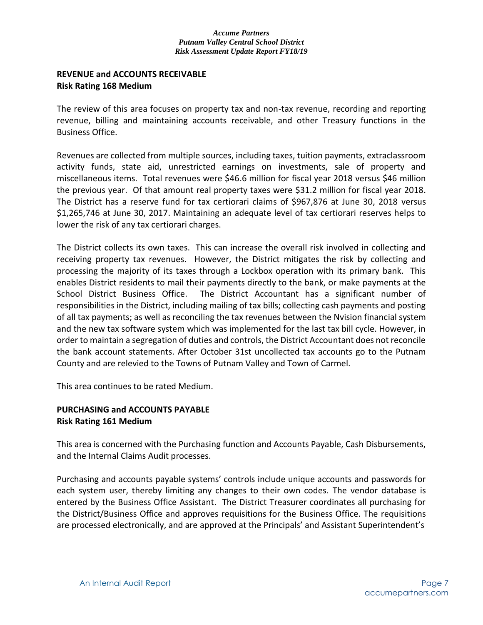## **REVENUE and ACCOUNTS RECEIVABLE Risk Rating 168 Medium**

The review of this area focuses on property tax and non-tax revenue, recording and reporting revenue, billing and maintaining accounts receivable, and other Treasury functions in the Business Office.

Revenues are collected from multiple sources, including taxes, tuition payments, extraclassroom activity funds, state aid, unrestricted earnings on investments, sale of property and miscellaneous items. Total revenues were \$46.6 million for fiscal year 2018 versus \$46 million the previous year. Of that amount real property taxes were \$31.2 million for fiscal year 2018. The District has a reserve fund for tax certiorari claims of \$967,876 at June 30, 2018 versus \$1,265,746 at June 30, 2017. Maintaining an adequate level of tax certiorari reserves helps to lower the risk of any tax certiorari charges.

The District collects its own taxes. This can increase the overall risk involved in collecting and receiving property tax revenues. However, the District mitigates the risk by collecting and processing the majority of its taxes through a Lockbox operation with its primary bank. This enables District residents to mail their payments directly to the bank, or make payments at the School District Business Office. The District Accountant has a significant number of responsibilities in the District, including mailing of tax bills; collecting cash payments and posting of all tax payments; as well as reconciling the tax revenues between the Nvision financial system and the new tax software system which was implemented for the last tax bill cycle. However, in order to maintain a segregation of duties and controls, the District Accountant does not reconcile the bank account statements. After October 31st uncollected tax accounts go to the Putnam County and are relevied to the Towns of Putnam Valley and Town of Carmel.

This area continues to be rated Medium.

## **PURCHASING and ACCOUNTS PAYABLE Risk Rating 161 Medium**

This area is concerned with the Purchasing function and Accounts Payable, Cash Disbursements, and the Internal Claims Audit processes.

Purchasing and accounts payable systems' controls include unique accounts and passwords for each system user, thereby limiting any changes to their own codes. The vendor database is entered by the Business Office Assistant. The District Treasurer coordinates all purchasing for the District/Business Office and approves requisitions for the Business Office. The requisitions are processed electronically, and are approved at the Principals' and Assistant Superintendent's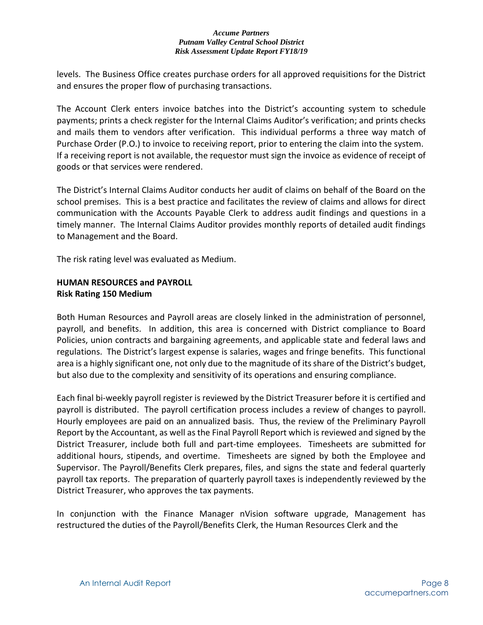levels. The Business Office creates purchase orders for all approved requisitions for the District and ensures the proper flow of purchasing transactions.

The Account Clerk enters invoice batches into the District's accounting system to schedule payments; prints a check register for the Internal Claims Auditor's verification; and prints checks and mails them to vendors after verification. This individual performs a three way match of Purchase Order (P.O.) to invoice to receiving report, prior to entering the claim into the system. If a receiving report is not available, the requestor must sign the invoice as evidence of receipt of goods or that services were rendered.

The District's Internal Claims Auditor conducts her audit of claims on behalf of the Board on the school premises. This is a best practice and facilitates the review of claims and allows for direct communication with the Accounts Payable Clerk to address audit findings and questions in a timely manner. The Internal Claims Auditor provides monthly reports of detailed audit findings to Management and the Board.

The risk rating level was evaluated as Medium.

## **HUMAN RESOURCES and PAYROLL Risk Rating 150 Medium**

Both Human Resources and Payroll areas are closely linked in the administration of personnel, payroll, and benefits. In addition, this area is concerned with District compliance to Board Policies, union contracts and bargaining agreements, and applicable state and federal laws and regulations. The District's largest expense is salaries, wages and fringe benefits. This functional area is a highly significant one, not only due to the magnitude of its share of the District's budget, but also due to the complexity and sensitivity of its operations and ensuring compliance.

Each final bi-weekly payroll register is reviewed by the District Treasurer before it is certified and payroll is distributed. The payroll certification process includes a review of changes to payroll. Hourly employees are paid on an annualized basis. Thus, the review of the Preliminary Payroll Report by the Accountant, as well as the Final Payroll Report which is reviewed and signed by the District Treasurer, include both full and part-time employees. Timesheets are submitted for additional hours, stipends, and overtime. Timesheets are signed by both the Employee and Supervisor. The Payroll/Benefits Clerk prepares, files, and signs the state and federal quarterly payroll tax reports. The preparation of quarterly payroll taxes is independently reviewed by the District Treasurer, who approves the tax payments.

In conjunction with the Finance Manager nVision software upgrade, Management has restructured the duties of the Payroll/Benefits Clerk, the Human Resources Clerk and the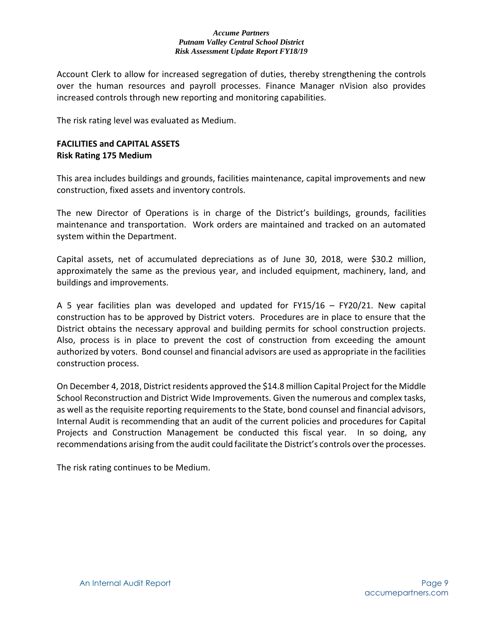Account Clerk to allow for increased segregation of duties, thereby strengthening the controls over the human resources and payroll processes. Finance Manager nVision also provides increased controls through new reporting and monitoring capabilities.

The risk rating level was evaluated as Medium.

## **FACILITIES and CAPITAL ASSETS Risk Rating 175 Medium**

This area includes buildings and grounds, facilities maintenance, capital improvements and new construction, fixed assets and inventory controls.

The new Director of Operations is in charge of the District's buildings, grounds, facilities maintenance and transportation. Work orders are maintained and tracked on an automated system within the Department.

Capital assets, net of accumulated depreciations as of June 30, 2018, were \$30.2 million, approximately the same as the previous year, and included equipment, machinery, land, and buildings and improvements.

A 5 year facilities plan was developed and updated for FY15/16 – FY20/21. New capital construction has to be approved by District voters. Procedures are in place to ensure that the District obtains the necessary approval and building permits for school construction projects. Also, process is in place to prevent the cost of construction from exceeding the amount authorized by voters. Bond counsel and financial advisors are used as appropriate in the facilities construction process.

On December 4, 2018, District residents approved the \$14.8 million Capital Project for the Middle School Reconstruction and District Wide Improvements. Given the numerous and complex tasks, as well as the requisite reporting requirements to the State, bond counsel and financial advisors, Internal Audit is recommending that an audit of the current policies and procedures for Capital Projects and Construction Management be conducted this fiscal year. In so doing, any recommendations arising from the audit could facilitate the District's controls over the processes.

The risk rating continues to be Medium.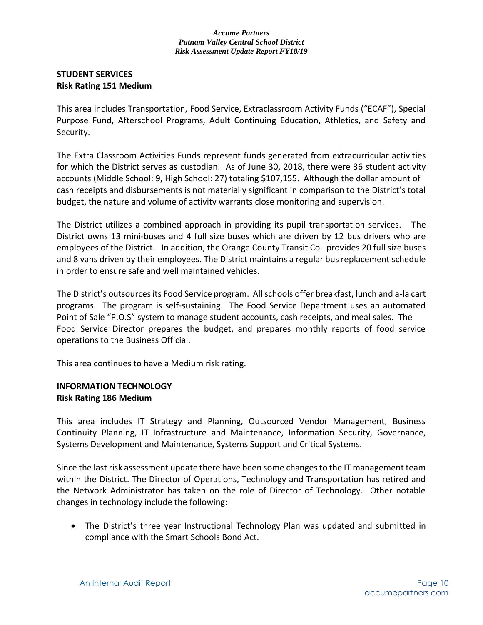## **STUDENT SERVICES Risk Rating 151 Medium**

This area includes Transportation, Food Service, Extraclassroom Activity Funds ("ECAF"), Special Purpose Fund, Afterschool Programs, Adult Continuing Education, Athletics, and Safety and Security.

The Extra Classroom Activities Funds represent funds generated from extracurricular activities for which the District serves as custodian. As of June 30, 2018, there were 36 student activity accounts (Middle School: 9, High School: 27) totaling \$107,155. Although the dollar amount of cash receipts and disbursements is not materially significant in comparison to the District's total budget, the nature and volume of activity warrants close monitoring and supervision.

The District utilizes a combined approach in providing its pupil transportation services. The District owns 13 mini-buses and 4 full size buses which are driven by 12 bus drivers who are employees of the District. In addition, the Orange County Transit Co. provides 20 full size buses and 8 vans driven by their employees. The District maintains a regular bus replacement schedule in order to ensure safe and well maintained vehicles.

The District's outsources its Food Service program. All schools offer breakfast, lunch and a-la cart programs. The program is self-sustaining. The Food Service Department uses an automated Point of Sale "P.O.S" system to manage student accounts, cash receipts, and meal sales. The Food Service Director prepares the budget, and prepares monthly reports of food service operations to the Business Official.

This area continues to have a Medium risk rating.

## **INFORMATION TECHNOLOGY Risk Rating 186 Medium**

This area includes IT Strategy and Planning, Outsourced Vendor Management, Business Continuity Planning, IT Infrastructure and Maintenance, Information Security, Governance, Systems Development and Maintenance, Systems Support and Critical Systems.

Since the last risk assessment update there have been some changes to the IT management team within the District. The Director of Operations, Technology and Transportation has retired and the Network Administrator has taken on the role of Director of Technology. Other notable changes in technology include the following:

 The District's three year Instructional Technology Plan was updated and submitted in compliance with the Smart Schools Bond Act.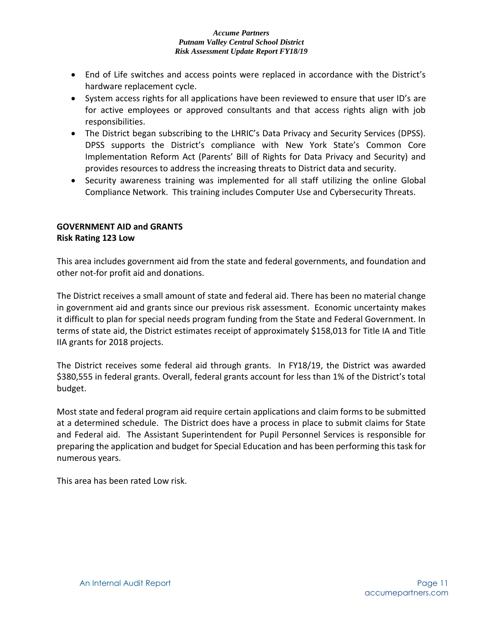- End of Life switches and access points were replaced in accordance with the District's hardware replacement cycle.
- System access rights for all applications have been reviewed to ensure that user ID's are for active employees or approved consultants and that access rights align with job responsibilities.
- The District began subscribing to the LHRIC's Data Privacy and Security Services (DPSS). DPSS supports the District's compliance with New York State's Common Core Implementation Reform Act (Parents' Bill of Rights for Data Privacy and Security) and provides resources to address the increasing threats to District data and security.
- Security awareness training was implemented for all staff utilizing the online Global Compliance Network. This training includes Computer Use and Cybersecurity Threats.

## **GOVERNMENT AID and GRANTS Risk Rating 123 Low**

This area includes government aid from the state and federal governments, and foundation and other not-for profit aid and donations.

The District receives a small amount of state and federal aid. There has been no material change in government aid and grants since our previous risk assessment. Economic uncertainty makes it difficult to plan for special needs program funding from the State and Federal Government. In terms of state aid, the District estimates receipt of approximately \$158,013 for Title IA and Title IIA grants for 2018 projects.

The District receives some federal aid through grants. In FY18/19, the District was awarded \$380,555 in federal grants. Overall, federal grants account for less than 1% of the District's total budget.

Most state and federal program aid require certain applications and claim forms to be submitted at a determined schedule. The District does have a process in place to submit claims for State and Federal aid. The Assistant Superintendent for Pupil Personnel Services is responsible for preparing the application and budget for Special Education and has been performing this task for numerous years.

This area has been rated Low risk.